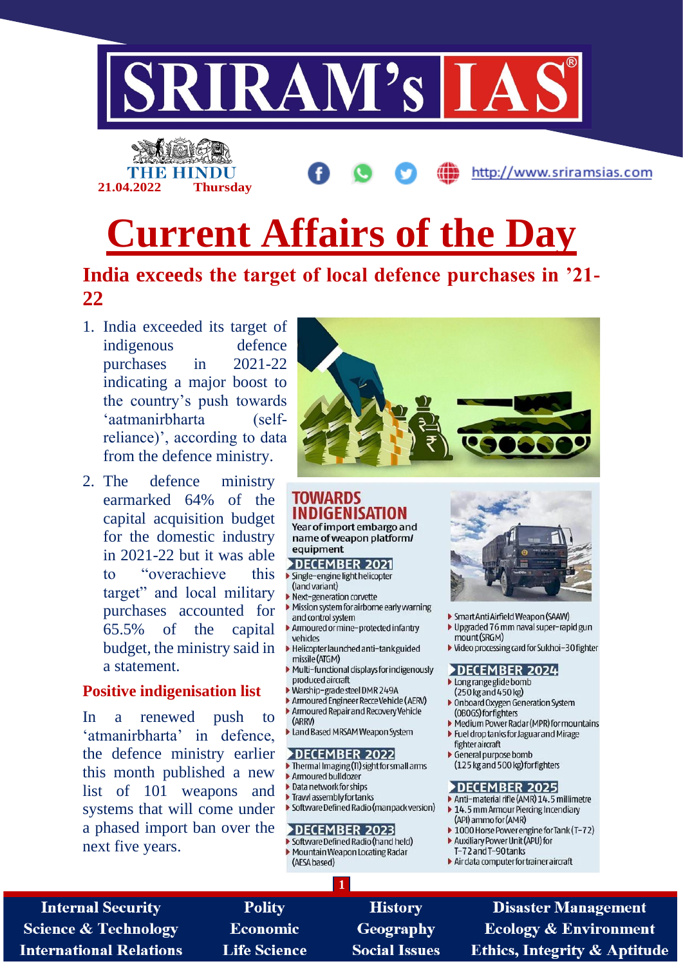

# **Current Affairs of the Day**

# India exceeds the target of local defence purchases in '21-22

1. India exceeded its target of indigenous defence purchases  $in$  $2021 - 22$ indicating a major boost to the country's push towards 'aatmanirbharta  $(self$ reliance)', according to data from the defence ministry.

**Thursday** 

21.04.2022

2. The defence ministry earmarked 64% of the capital acquisition budget for the domestic industry in 2021-22 but it was able "overachieve this  $f_{\Omega}$ target" and local military purchases accounted for 65.5% of the capital budget, the ministry said in a statement.

#### **Positive indigenisation list**

renewed  $In$ a push to 'atmanirbharta' in defence, the defence ministry earlier this month published a new list of 101 weapons and systems that will come under a phased import ban over the next five years.



#### **TOWARDS INDIGENISATION**

Year of import embargo and name of weapon platform/ equipment

- DECEMBER 2021 > Single-engine light helicopter
- (land variant)
- Next-generation corvette
- Mission system for airborne early warning and control system
- Armoured or mine-protected infantry vehicles
- Helicopter launched anti-tank guided missile (ATGM)
- Multi-functional displays for indigenously produced aircraft
- ▶ Warship-grade steel DMR 249A
- Armoured Engineer Recce Vehicle (AERV) Armoured Repair and Recovery Vehicle (ARRV)
- Land Based MRSAM Weapon System

#### DECEMBER 2022

- Thermal Imaging (TI) sight for small arms Armoured bulldozer
- Data network for ships
- Trawl assembly for tanks
- Software Defined Radio (manpack version)

#### DECEMBER 2023

- Software Defined Radio (hand held) Mountain Weapon Locating Radar
- (AESA based)



http://www.sriramsias.com

- Smart Anti Airfield Weapon (SAAW)
- Upgraded 76 mm naval super-rapid gun mount (SRGM)
- ▶ Video processing card for Sukhoi-30 fighter

#### DECEMBER 2024

- Long range glide bomb
- (250 kg and 450 kg)
- ▶ Onboard Oxygen Generation System (OBOGS) for fighters
- ▶ Medium Power Radar (MPR) for mountains Fuel drop tanks for Jaguar and Mirage
- fighter aircraft
- General purpose bomb (125 kg and 500 kg) for fighters

#### DECEMBER 2025

- Anti-material rifle (AMR) 14.5 millimetre 14.5 mm Armour Piercing Incendiary
- (API) ammo for (AMR) ▶ 1000 Horse Power engine for Tank (T-72)
- Auxiliary Power Unit (APU) for
- T-72 and T-90 tanks
- Air data computer for trainer aircraft

**Internal Security Science & Technology International Relations** 

**Polity Economic Life Science** 

**History** Geography **Social Issues** 

**Disaster Management Ecology & Environment Ethics, Integrity & Aptitude**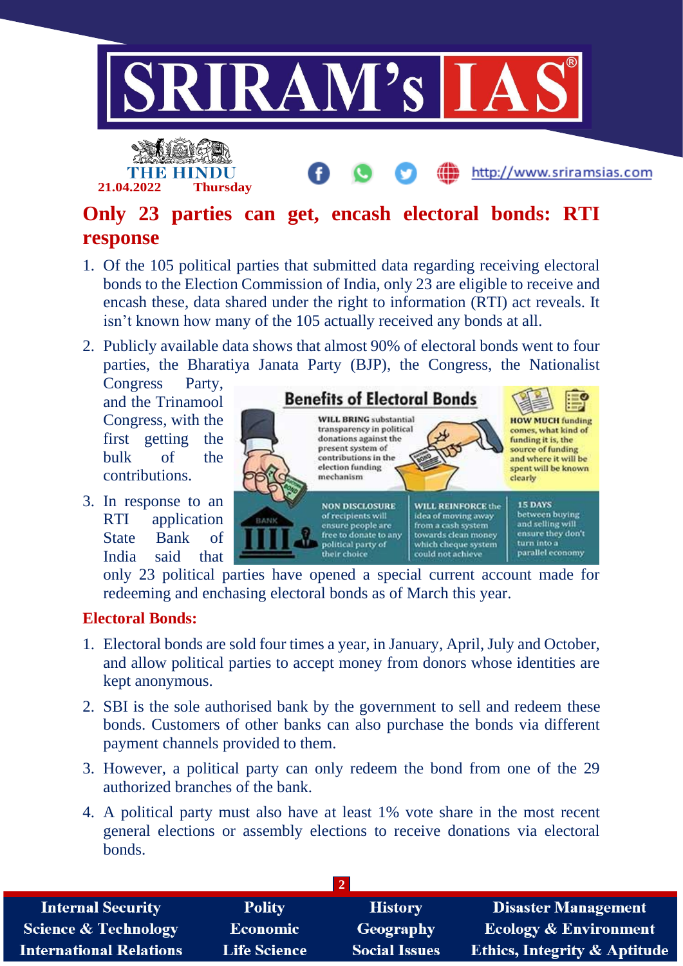

# **Only 23 parties can get, encash electoral bonds: RTI response**

- 1. Of the 105 political parties that submitted data regarding receiving electoral bonds to the Election Commission of India, only 23 are eligible to receive and encash these, data shared under the right to information (RTI) act reveals. It isn't known how many of the 105 actually received any bonds at all.
- 2. Publicly available data shows that almost 90% of electoral bonds went to four parties, the Bharatiya Janata Party (BJP), the Congress, the Nationalist

Congress Party, and the Trinamool Congress, with the first getting the bulk of the contributions.

3. In response to an RTI application State Bank of India said that

**Benefits of Electoral Bonds WILL BRING** substantial **HOW MUCH funding** transparency in political comes, what kind of donations against the funding it is, the present system of source of funding contributions in the and where it will be election funding spent will be known mechanism clearly **15 DAYS NON DISCLOSURE WILL REINFORCE the** between buying idea of moving away of recipients will RANK and selling will from a cash system ensure people are ensure they don't towards clean money free to donate to any political party of which cheque system turn into a their choice could not achieve parallel economy

only 23 political parties have opened a special current account made for redeeming and enchasing electoral bonds as of March this year.

## **Electoral Bonds:**

- 1. Electoral bonds are sold four times a year, in January, April, July and October, and allow political parties to accept money from donors whose identities are kept anonymous.
- 2. SBI is the sole authorised bank by the government to sell and redeem these bonds. Customers of other banks can also purchase the bonds via different payment channels provided to them.
- 3. However, a political party can only redeem the bond from one of the 29 authorized branches of the bank.
- 4. A political party must also have at least 1% vote share in the most recent general elections or assembly elections to receive donations via electoral bonds.

| <b>Internal Security</b>        | <b>Polity</b>       | <b>History</b>       | <b>Disaster Management</b>              |
|---------------------------------|---------------------|----------------------|-----------------------------------------|
| <b>Science &amp; Technology</b> | <b>Economic</b>     | Geography            | <b>Ecology &amp; Environment</b>        |
| <b>International Relations</b>  | <b>Life Science</b> | <b>Social Issues</b> | <b>Ethics, Integrity &amp; Aptitude</b> |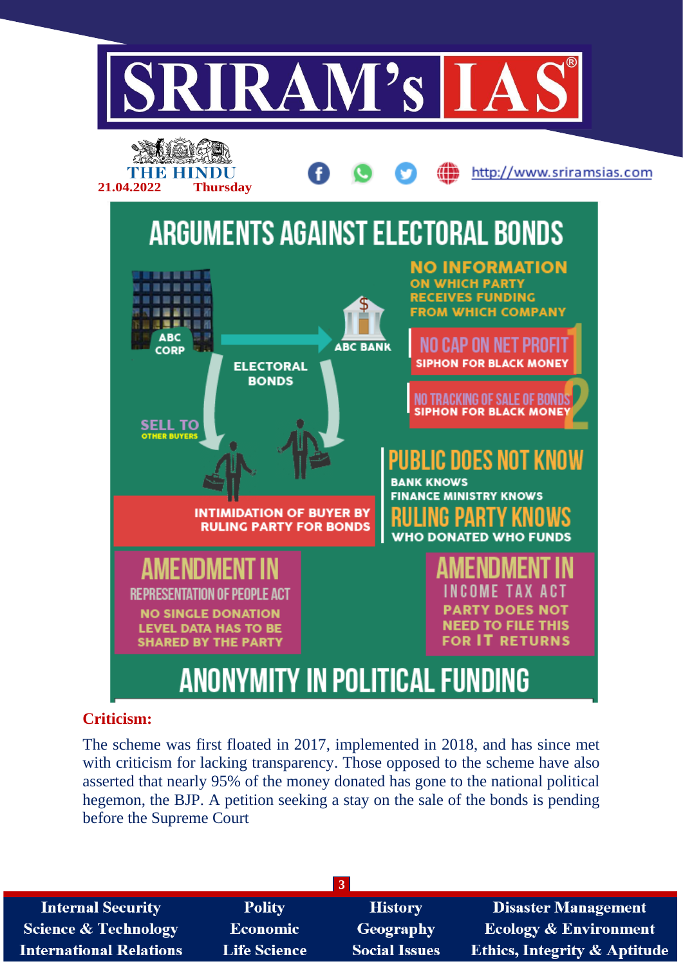

## **Criticism:**

The scheme was first floated in 2017, implemented in 2018, and has since met with criticism for lacking transparency. Those opposed to the scheme have also asserted that nearly 95% of the money donated has gone to the national political hegemon, the BJP. A petition seeking a stay on the sale of the bonds is pending before the Supreme Court

| <b>Internal Security</b>        | <b>Polity</b>       | <b>History</b>       | <b>Disaster Management</b>              |
|---------------------------------|---------------------|----------------------|-----------------------------------------|
| <b>Science &amp; Technology</b> | <b>Economic</b>     | Geography            | <b>Ecology &amp; Environment</b>        |
| <b>International Relations</b>  | <b>Life Science</b> | <b>Social Issues</b> | <b>Ethics, Integrity &amp; Aptitude</b> |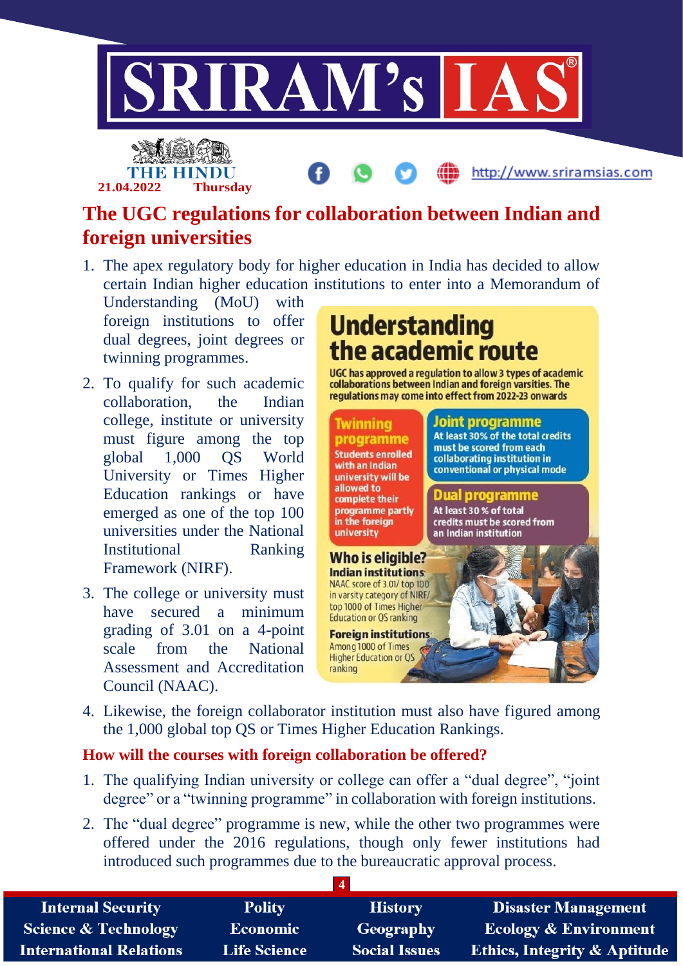

# **The UGC regulations for collaboration between Indian and foreign universities**

1. The apex regulatory body for higher education in India has decided to allow certain Indian higher education institutions to enter into a Memorandum of

Understanding (MoU) with foreign institutions to offer dual degrees, joint degrees or twinning programmes.

**21.04.2022 Thursday**

- 2. To qualify for such academic collaboration, the Indian college, institute or university must figure among the top global 1,000 QS World University or Times Higher Education rankings or have emerged as one of the top 100 universities under the National Institutional Ranking Framework (NIRF).
- 3. The college or university must have secured a minimum grading of 3.01 on a 4-point scale from the National Assessment and Accreditation Council (NAAC).

# **Understanding** the academic route

UGC has approved a regulation to allow 3 types of academic collaborations between Indian and foreign varsities. The regulations may come into effect from 2022-23 onwards

#### **Joint programme**

programme **Students enrolled** with an Indian university will be allowed to complete their programme partly in the foreign university

Who is eligible? **Indian institutions:** NAAC score of 3.01/ top 100 in varsity category of NIRF/ top 1000 of Times Higher **Education or QS ranking Foreign institutions** Among 1000 of Times

Twinning

#### At least 30% of the total credits must be scored from each collaborating institution in

conventional or physical mode

## **Dual programme**

At least 30 % of total credits must be scored from an Indian institution

**Higher Education or OS** ranking

4. Likewise, the foreign collaborator institution must also have figured among the 1,000 global top QS or Times Higher Education Rankings.

## **How will the courses with foreign collaboration be offered?**

- 1. The qualifying Indian university or college can offer a "dual degree", "joint degree" or a "twinning programme" in collaboration with foreign institutions.
- 2. The "dual degree" programme is new, while the other two programmes were offered under the 2016 regulations, though only fewer institutions had introduced such programmes due to the bureaucratic approval process.

| <b>Internal Security</b>        | <b>Polity</b>       | <b>History</b>       | <b>Disaster Management</b>              |
|---------------------------------|---------------------|----------------------|-----------------------------------------|
| <b>Science &amp; Technology</b> | <b>Economic</b>     | Geography            | <b>Ecology &amp; Environment</b>        |
| <b>International Relations</b>  | <b>Life Science</b> | <b>Social Issues</b> | <b>Ethics, Integrity &amp; Aptitude</b> |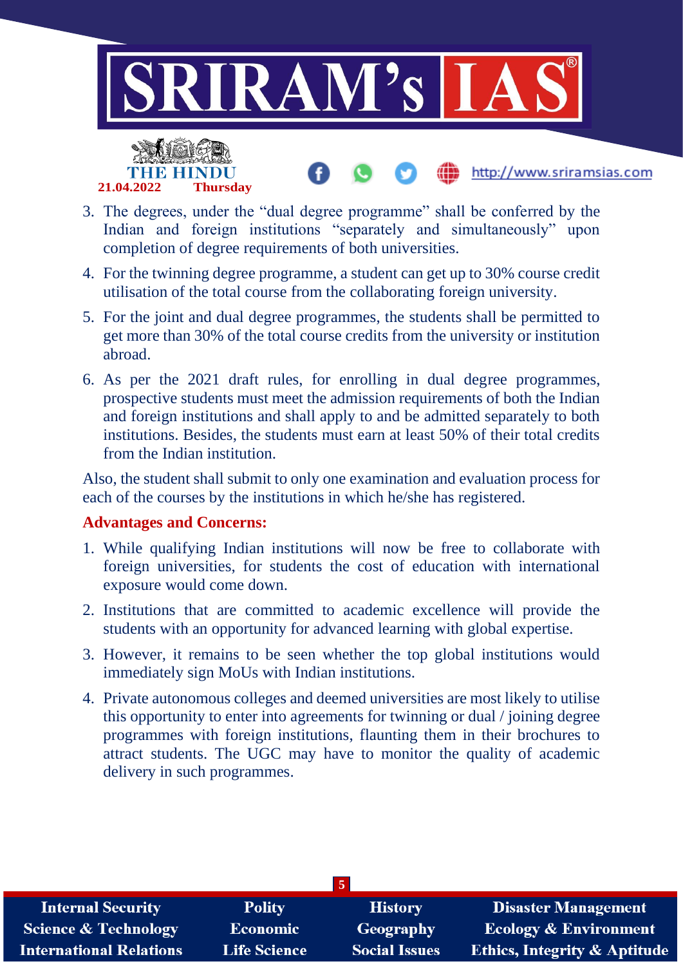

- 3. The degrees, under the "dual degree programme" shall be conferred by the Indian and foreign institutions "separately and simultaneously" upon completion of degree requirements of both universities.
- 4. For the twinning degree programme, a student can get up to 30% course credit utilisation of the total course from the collaborating foreign university.
- 5. For the joint and dual degree programmes, the students shall be permitted to get more than 30% of the total course credits from the university or institution abroad.
- 6. As per the 2021 draft rules, for enrolling in dual degree programmes, prospective students must meet the admission requirements of both the Indian and foreign institutions and shall apply to and be admitted separately to both institutions. Besides, the students must earn at least 50% of their total credits from the Indian institution.

Also, the student shall submit to only one examination and evaluation process for each of the courses by the institutions in which he/she has registered.

## **Advantages and Concerns:**

**21.04.2022 Thursday**

- 1. While qualifying Indian institutions will now be free to collaborate with foreign universities, for students the cost of education with international exposure would come down.
- 2. Institutions that are committed to academic excellence will provide the students with an opportunity for advanced learning with global expertise.
- 3. However, it remains to be seen whether the top global institutions would immediately sign MoUs with Indian institutions.
- 4. Private autonomous colleges and deemed universities are most likely to utilise this opportunity to enter into agreements for twinning or dual / joining degree programmes with foreign institutions, flaunting them in their brochures to attract students. The UGC may have to monitor the quality of academic delivery in such programmes.

| $5^{\circ}$                     |                     |                      |                                         |  |
|---------------------------------|---------------------|----------------------|-----------------------------------------|--|
| <b>Internal Security</b>        | <b>Polity</b>       | <b>History</b>       | <b>Disaster Management</b>              |  |
| <b>Science &amp; Technology</b> | Economic            | <b>Geography</b>     | <b>Ecology &amp; Environment</b>        |  |
| <b>International Relations</b>  | <b>Life Science</b> | <b>Social Issues</b> | <b>Ethics, Integrity &amp; Aptitude</b> |  |